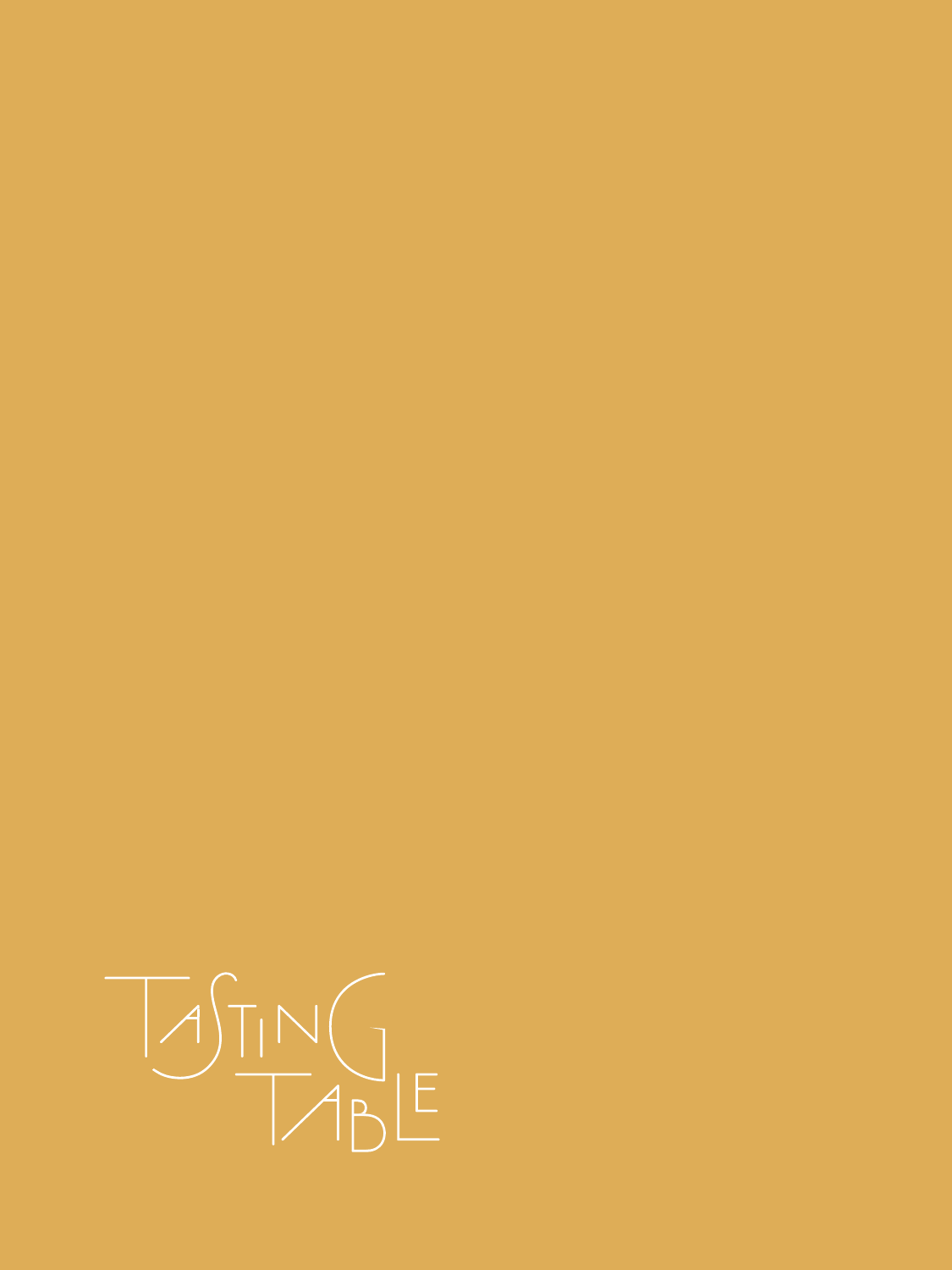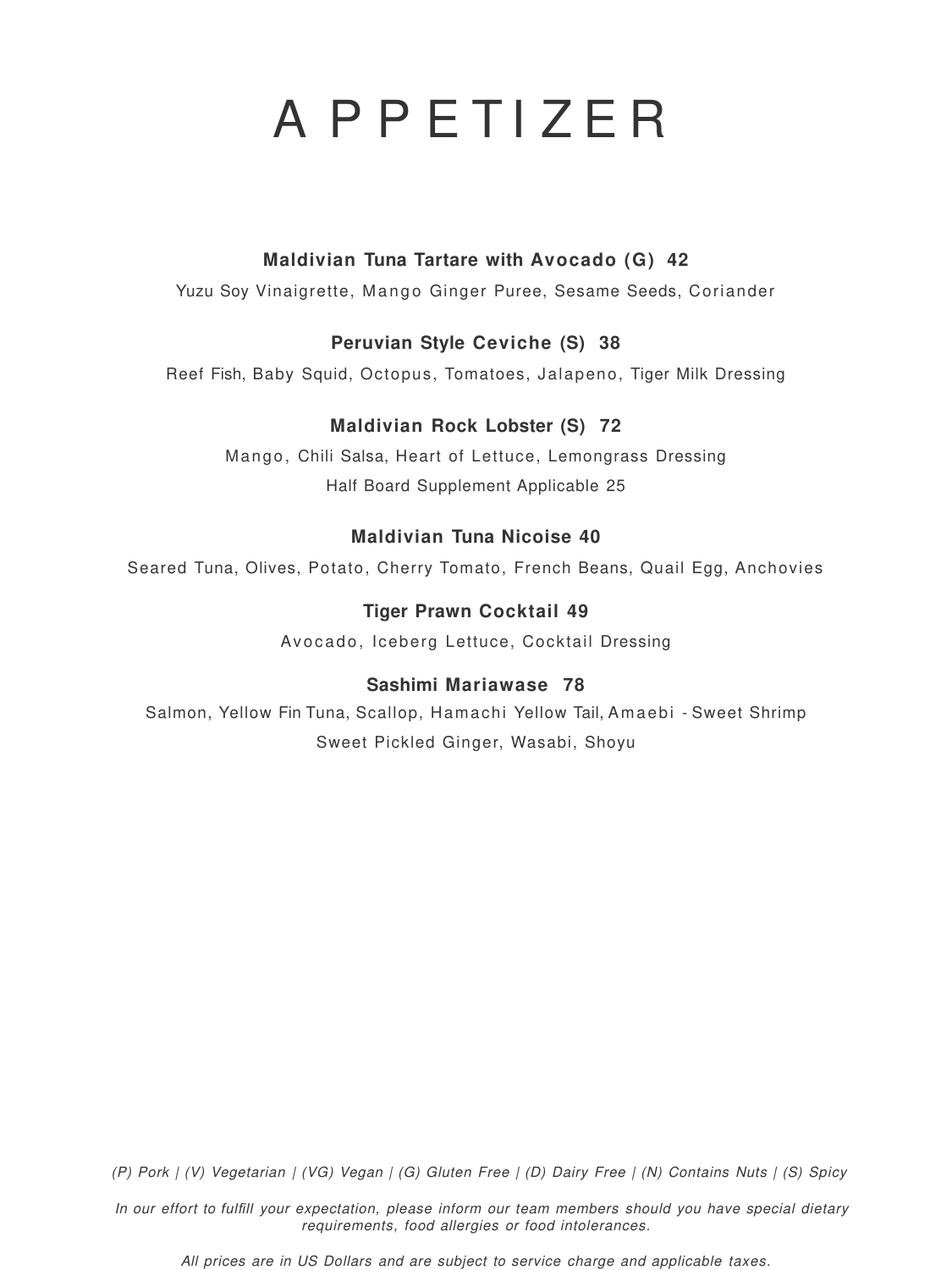# A P P E T I Z E R

### **Maldivian Tuna Tartare with Avocado (G) 42**

Yuzu Soy Vinaigrette, Mango Ginger Puree, Sesame Seeds, Coriander

### **Peruvian Style Ceviche (S) 38**

Reef Fish, Baby Squid, Octopus, Tomatoes, Jalapeno, Tiger Milk Dressing

### **Maldivian Rock Lobster (S) 72**

Mango, Chili Salsa, Heart of Lettuce, Lemongrass Dressing Half Board Supplement Applicable 25

### **Maldivian Tuna Nicoise 40**

Seared Tuna, Olives, Potato, Cherry Tomato, French Beans, Quail Egg, Anchovies

### **Tiger Prawn Cocktail 49**

Avocado, Iceberg Lettuce, Cocktail Dressing

### **Sashimi Mariawase 78**

Salmon, Yellow Fin Tuna, Scallop, Hamachi Yellow Tail, Amaebi - Sweet Shrimp

Sweet Pickled Ginger, Wasabi, Shoyu

(P) Pork | (V) Vegetarian | (VG) Vegan | (G) Gluten Free | (D) Dairy Free | (N) Contains Nuts | (S) Spicy

In our effort to *fulfill* your expectation, please inform our team members should you have special dietary requirements, food allergies or food intolerances.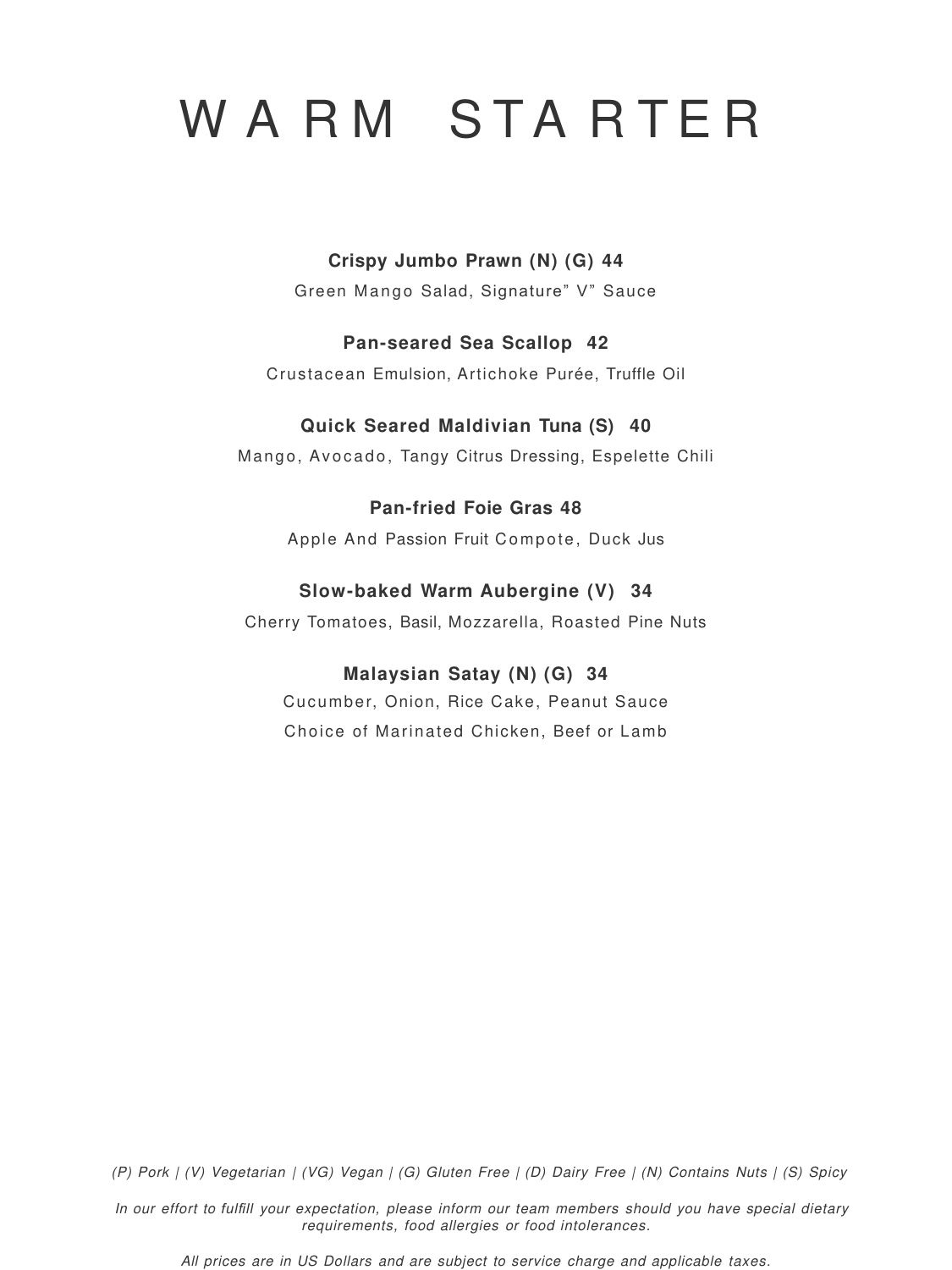# WARM STARTER

### **Crispy Jumbo Prawn (N) (G) 44**

Green Mango Salad, Signature" V" Sauce

### **Pan-seared Sea Scallop 42**

Crustacean Emulsion, Artichoke Purée, Truffle Oil

### **Quick Seared Maldivian Tuna (S) 40**

Mango, Avocado, Tangy Citrus Dressing, Espelette Chili

### **Pan-fried Foie Gras 48**

Apple And Passion Fruit Compote, Duck Jus

### **Slow-baked Warm Aubergine (V) 34**

Cherry Tomatoes, Basil, Mozzarella, Roasted Pine Nuts

### **Malaysian Satay (N) (G) 34**

Cucumber, Onion, Rice Cake, Peanut Sauce

Choice of Marinated Chicken, Beef or Lamb

(P) Pork | (V) Vegetarian | (VG) Vegan | (G) Gluten Free | (D) Dairy Free | (N) Contains Nuts | (S) Spicy

In our effort to *fulfill* your expectation, please inform our team members should you have special dietary requirements, food allergies or food intolerances.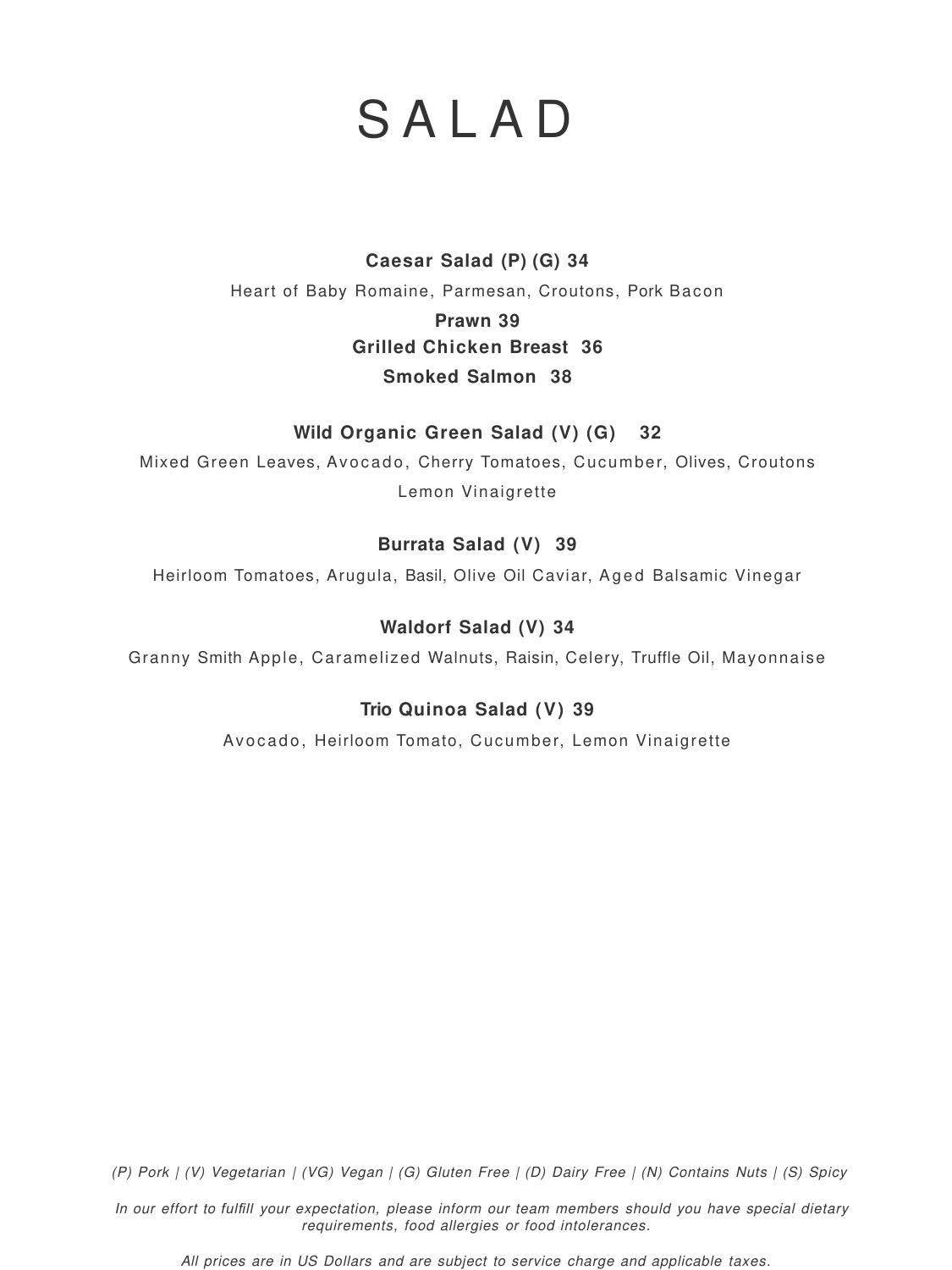### S A L A D

**Caesar Salad (P) (G) 34** Heart of Baby Romaine, Parmesan, Croutons, Pork Bacon **Prawn 39 Grilled Chicken Breast 36 Smoked Salmon 38**

Mixed Green Leaves, Avocado, Cherry Tomatoes, Cucumber, Olives, Croutons Lemon Vinaigrette

### **Wild Organic Green Salad (V) (G) 32**

### **Burrata Salad (V) 39**

Heirloom Tomatoes, Arugula, Basil, Olive Oil Caviar, Aged Balsamic Vinegar

### **Waldorf Salad (V) 34**

Granny Smith Apple, Caramelized Walnuts, Raisin, Celery, Truffle Oil, Mayonnaise

**Trio Quinoa Salad (V) 39**

Avocado, Heirloom Tomato, Cucumber, Lemon Vinaigrette

(P) Pork | (V) Vegetarian | (VG) Vegan | (G) Gluten Free | (D) Dairy Free | (N) Contains Nuts | (S) Spicy

In our effort to *fulfill* your expectation, please inform our team members should you have special dietary requirements, food allergies or food intolerances.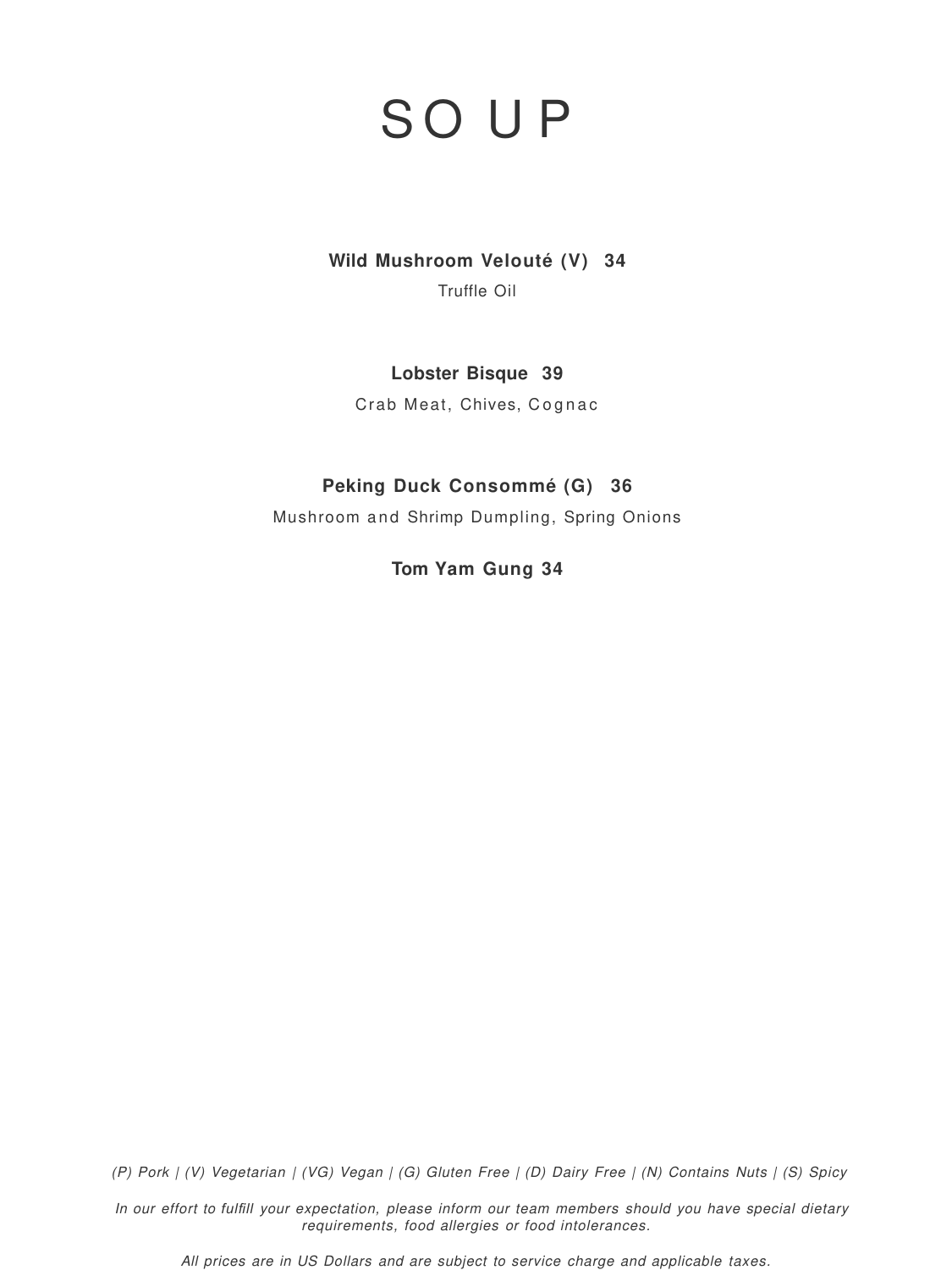# S O U P

**Wild Mushroom Velouté (V) 34**

Truffle Oil

**Lobster Bisque 39**

Crab Meat, Chives, Cognac

### **Peking Duck Consommé (G) 36**

Mushroom and Shrimp Dumpling, Spring Onions

**Tom Yam Gung 34**

(P) Pork | (V) Vegetarian | (VG) Vegan | (G) Gluten Free | (D) Dairy Free | (N) Contains Nuts | (S) Spicy

In our effort to *fulfill* your expectation, please inform our team members should you have special dietary requirements, food allergies or food intolerances.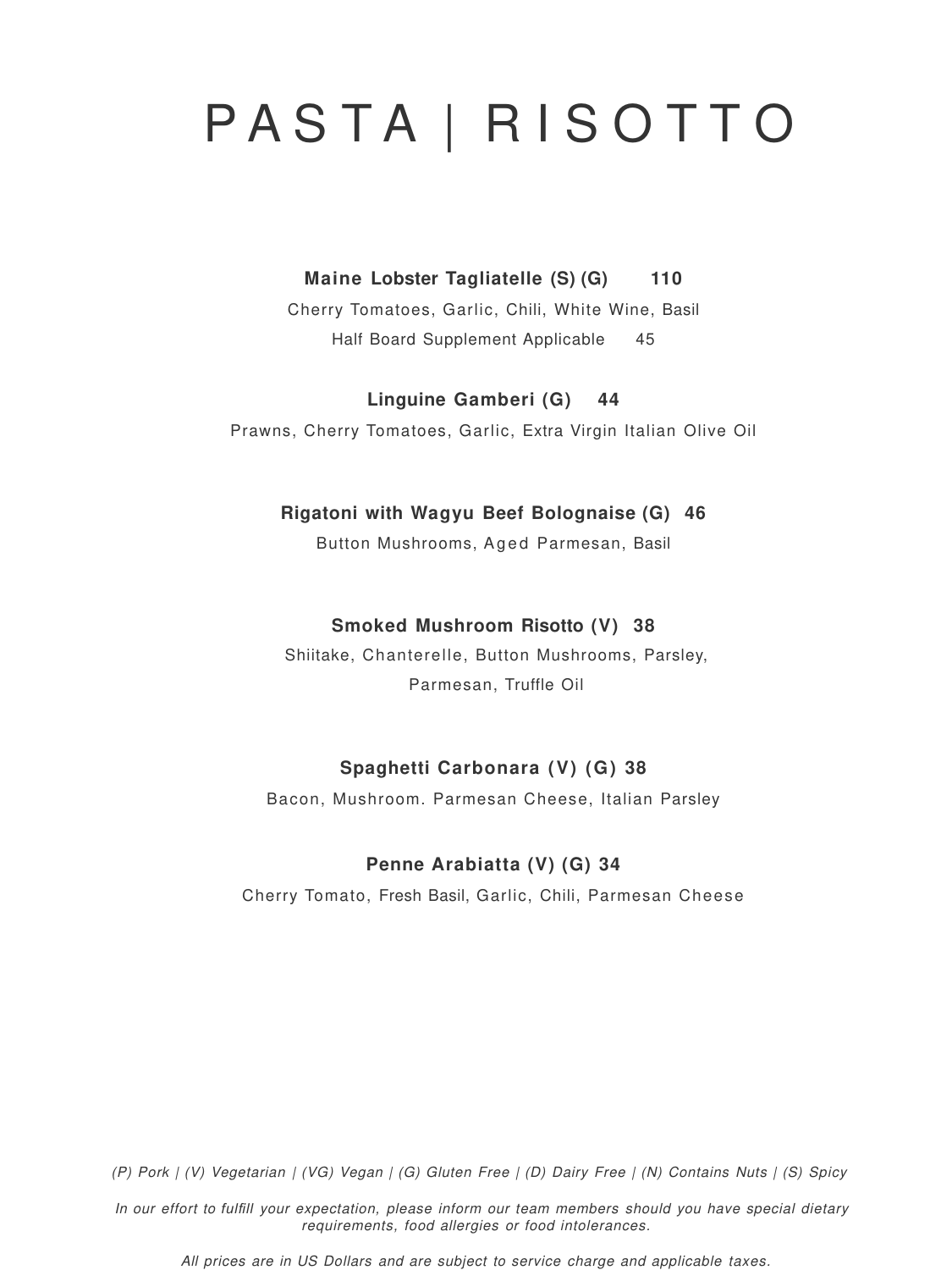(P) Pork | (V) Vegetarian | (VG) Vegan | (G) Gluten Free | (D) Dairy Free | (N) Contains Nuts | (S) Spicy

In our effort to *fulfill* your expectation, please inform our team members should you have special dietary requirements, food allergies or food intolerances.

All prices are in US Dollars and are subject to service charge and applicable taxes.

# P A S T A | R I S O T T O

**Maine Lobster Tagliatelle (S) (G) 110**

Cherry Tomatoes, Garlic, Chili, White Wine, Basil Half Board Supplement Applicable 45

**Linguine Gamberi (G) 44**

Prawns, Cherry Tomatoes, Garlic, Extra Virgin Italian Olive Oil

**Rigatoni with Wagyu Beef Bolognaise (G) 46**

Button Mushrooms, Aged Parmesan, Basil

### **Smoked Mushroom Risotto (V) 38**

Shiitake, Chanterelle, Button Mushrooms, Parsley,

Parmesan, Truffle Oil

### **Spaghetti Carbonara (V) (G) 38**

Bacon, Mushroom. Parmesan Cheese, Italian Parsley

### **Penne Arabiatta (V) (G) 34**

Cherry Tomato, Fresh Basil, Garlic, Chili, Parmesan Cheese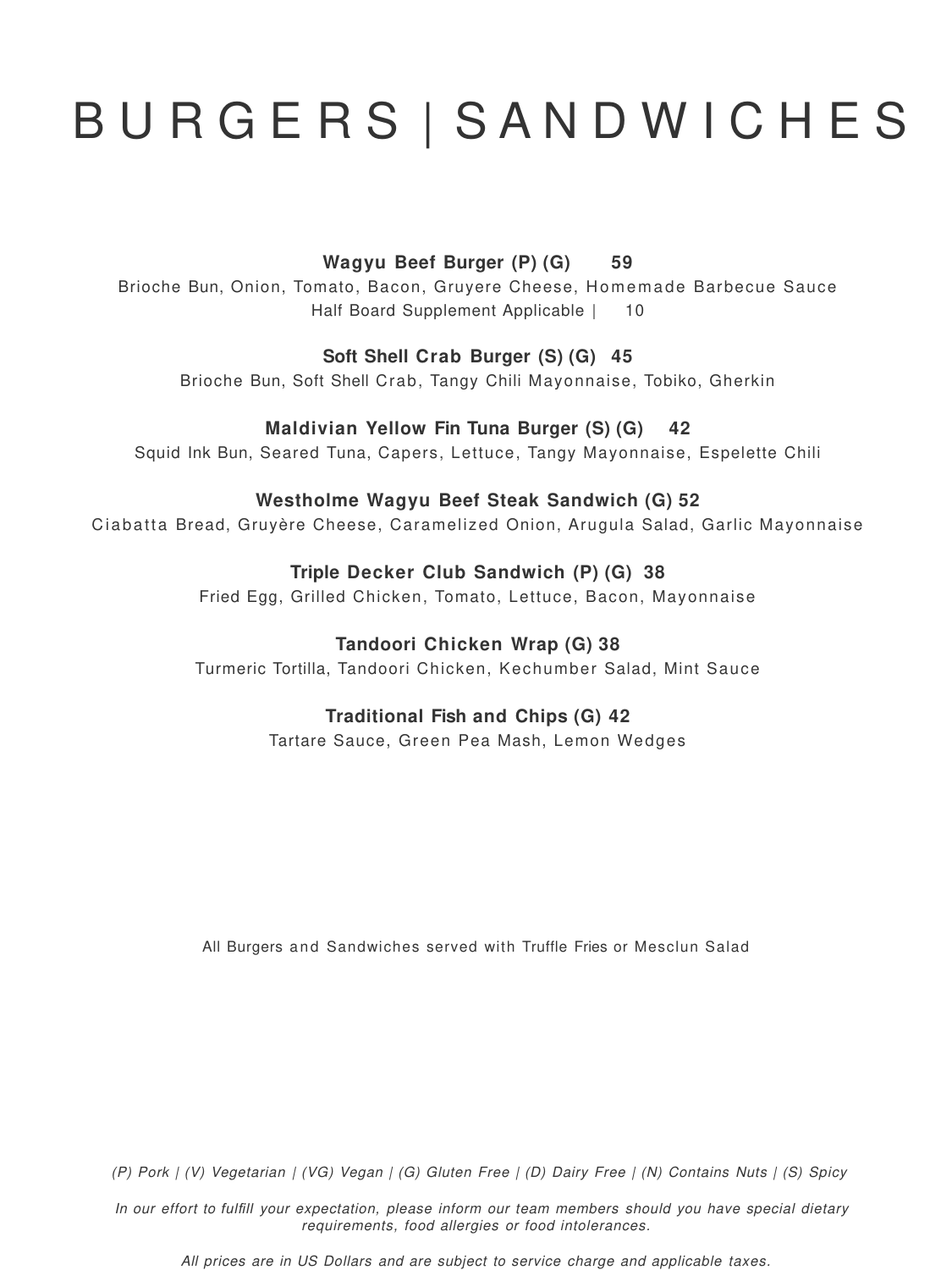# B U R G E R S | S A N D W I C H E S

### **Wagyu Beef Burger (P) (G) 59**

Brioche Bun, Onion, Tomato, Bacon, Gruyere Cheese, Homemade Barbecue Sauce Half Board Supplement Applicable | 10

### **Soft Shell Crab Burger (S) (G) 45**

Brioche Bun, Soft Shell Crab, Tangy Chili Mayonnaise, Tobiko, Gherkin

### **Maldivian Yellow Fin Tuna Burger (S) (G) 42**

Squid Ink Bun, Seared Tuna, Capers, Lettuce, Tangy Mayonnaise, Espelette Chili

### **Westholme Wagyu Beef Steak Sandwich (G) 52**

Ciabatta Bread, Gruyère Cheese, Caramelized Onion, Arugula Salad, Garlic Mayonnaise

### **Triple Decker Club Sandwich (P) (G) 38**

Fried Egg, Grilled Chicken, Tomato, Lettuce, Bacon, Mayonnaise

### **Tandoori Chicken Wrap (G) 38**

Turmeric Tortilla, Tandoori Chicken, Kechumber Salad, Mint Sauce

#### **Traditional Fish and Chips (G) 42**

Tartare Sauce, Green Pea Mash, Lemon Wedges

#### All Burgers and Sandwiches served with Truffle Fries or Mesclun Salad

(P) Pork | (V) Vegetarian | (VG) Vegan | (G) Gluten Free | (D) Dairy Free | (N) Contains Nuts | (S) Spicy

In our effort to *fulfill* your expectation, please inform our team members should you have special dietary requirements, food allergies or food intolerances.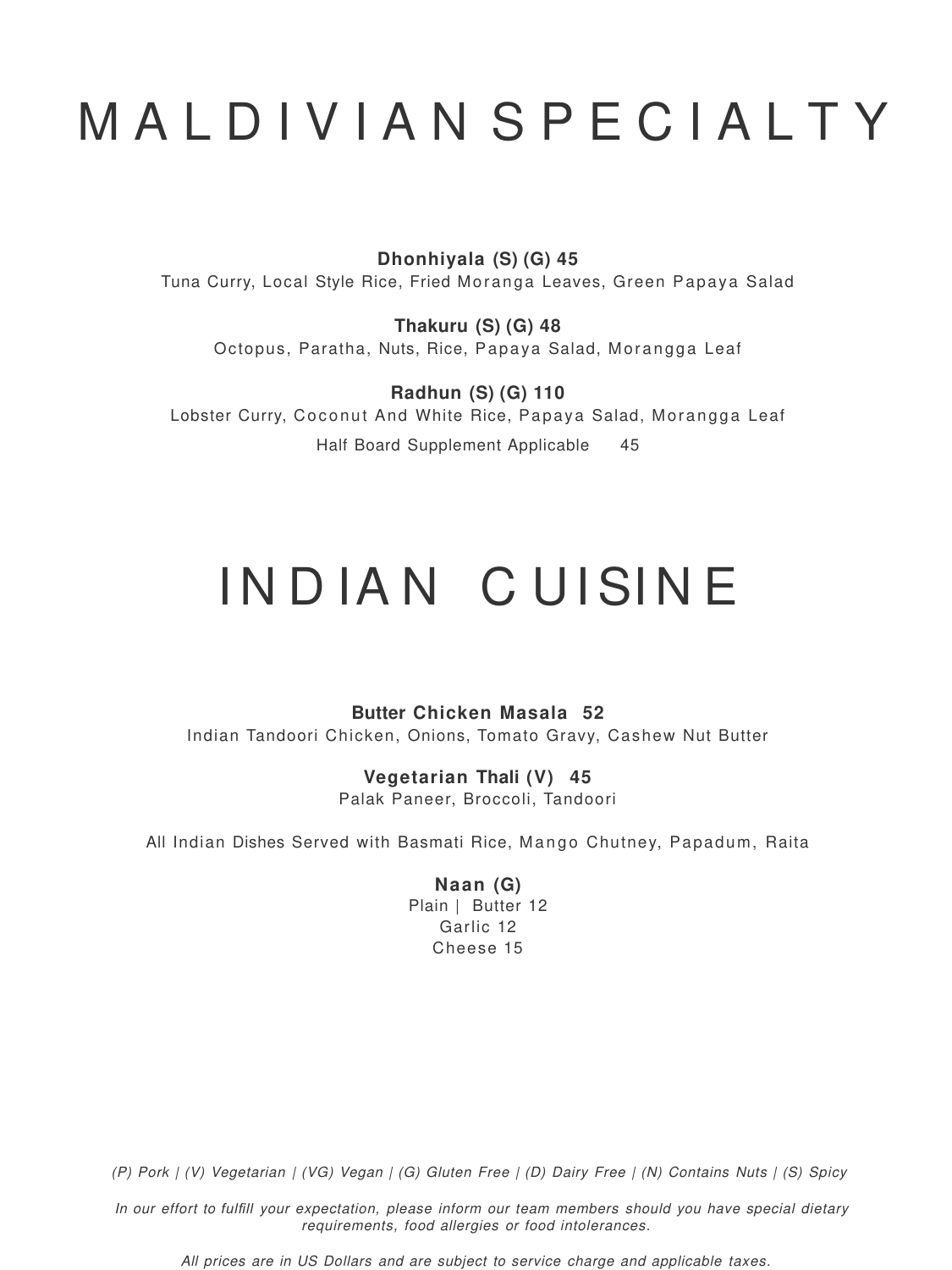# M A L D I V I A N S P E C I A L T Y

**Dhonhiyala (S) (G) 45**

Tuna Curry, Local Style Rice, Fried Moranga Leaves, Green Papaya Salad

**Thakuru (S) (G) 48** Octopus, Paratha, Nuts, Rice, Papaya Salad, Morangga Leaf

**Radhun (S) (G) 110** Lobster Curry, Coconut And White Rice, Papaya Salad, Morangga Leaf

Half Board Supplement Applicable 45

# INDIAN CUISINE

**Butter Chicken Masala 52**

Indian Tandoori Chicken, Onions, Tomato Gravy, Cashew Nut Butter

### **Vegetarian Thali (V) 45**

Palak Paneer, Broccoli, Tandoori

All Indian Dishes Served with Basmati Rice, Mango Chutney, Papadum, Raita

**Naan (G)** Plain | Butter 12 Garlic 12 Cheese 15

(P) Pork | (V) Vegetarian | (VG) Vegan | (G) Gluten Free | (D) Dairy Free | (N) Contains Nuts | (S) Spicy

In our effort to *fulfill* your expectation, please inform our team members should you have special dietary requirements, food allergies or food intolerances.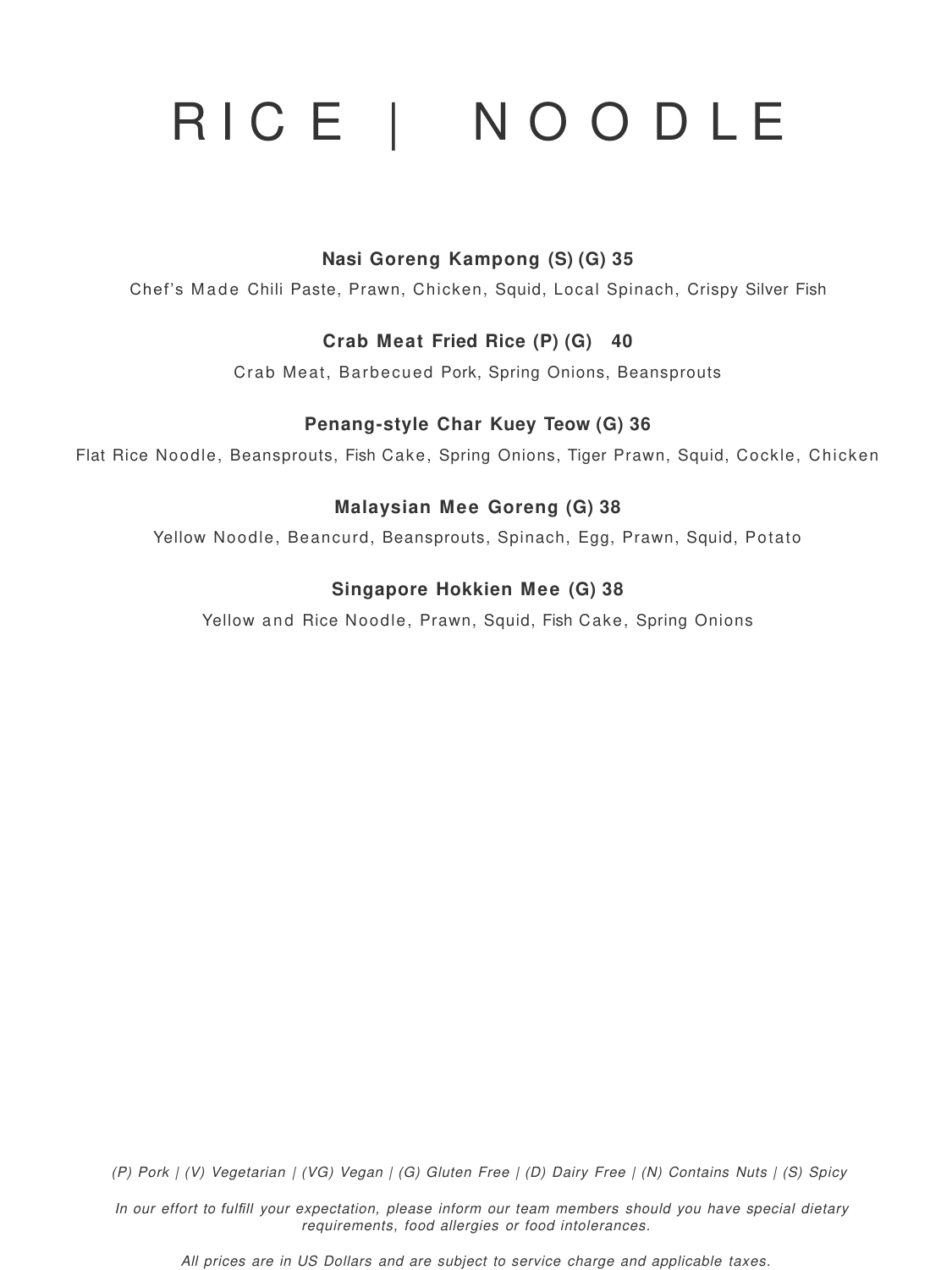# RICE | NOODLE

### **Nasi Goreng Kampong (S) (G) 35**

Chef's Made Chili Paste, Prawn, Chicken, Squid, Local Spinach, Crispy Silver Fish

### **Crab Meat Fried Rice (P) (G) 40**

Crab Meat, Barbecued Pork, Spring Onions, Beansprouts

### **Penang-style Char Kuey Teow (G) 36**

Flat Rice Noodle, Beansprouts, Fish Cake, Spring Onions, Tiger Prawn, Squid, Cockle, Chicken

### **Malaysian Mee Goreng (G) 38**

Yellow Noodle, Beancurd, Beansprouts, Spinach, Egg, Prawn, Squid, Potato

### **Singapore Hokkien Mee (G) 38**

Yellow and Rice Noodle, Prawn, Squid, Fish Cake, Spring Onions

(P) Pork | (V) Vegetarian | (VG) Vegan | (G) Gluten Free | (D) Dairy Free | (N) Contains Nuts | (S) Spicy

In our effort to *fulfill* your expectation, please inform our team members should you have special dietary requirements, food allergies or food intolerances.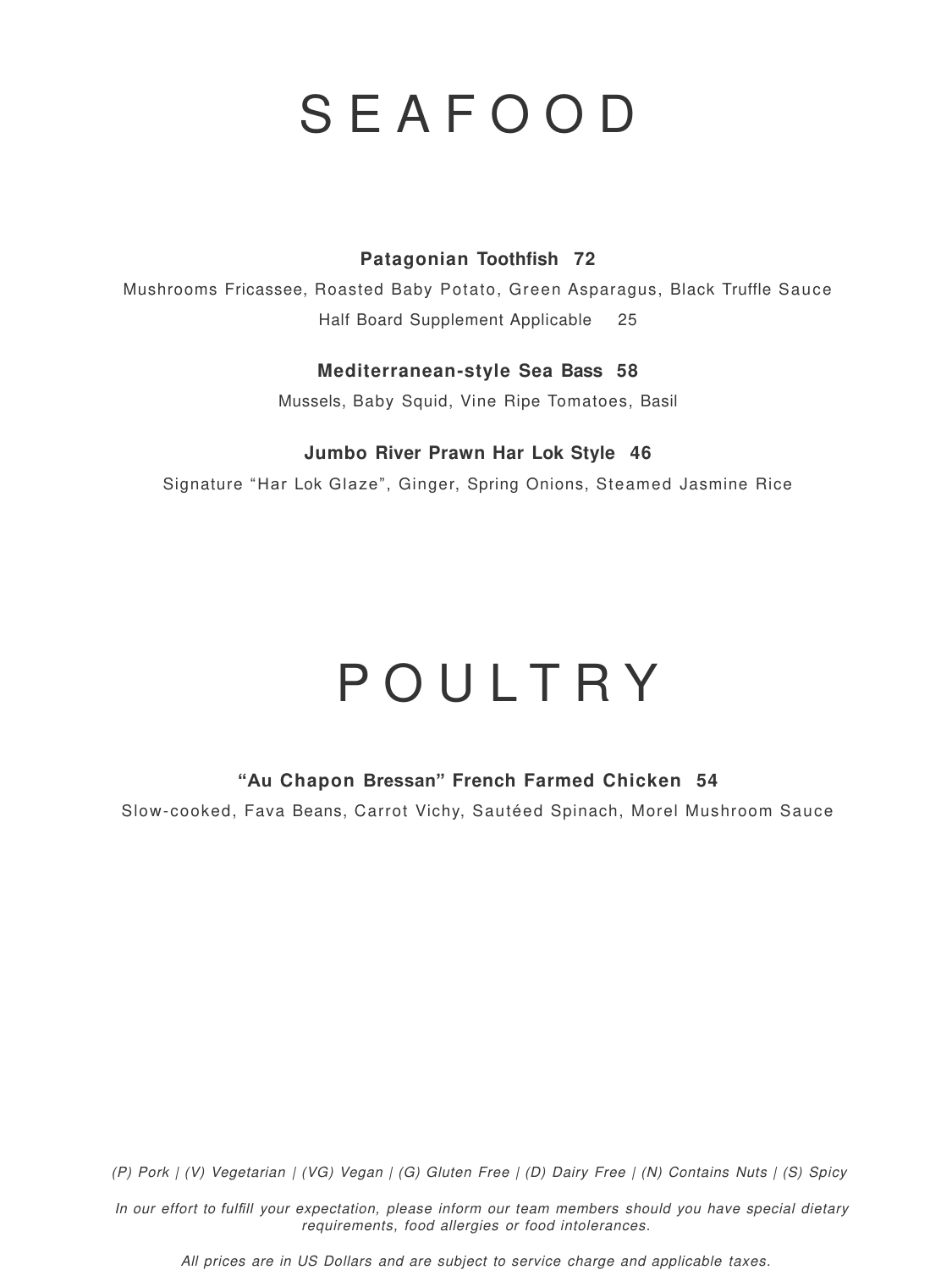### **Patagonian Toothfish 72**

Mushrooms Fricassee, Roasted Baby Potato, Green Asparagus, Black Truffle Sauce Half Board Supplement Applicable 25

### **Mediterranean-style Sea Bass 58**

Mussels, Baby Squid, Vine Ripe Tomatoes, Basil

### **Jumbo River Prawn Har Lok Style 46**

Signature "Har Lok Glaze", Ginger, Spring Onions, Steamed Jasmine Rice

### **"Au Chapon Bressan" French Farmed Chicken 54**

Slow-cooked, Fava Beans, Carrot Vichy, Sautéed Spinach, Morel Mushroom Sauce

### S E A F O O D

# P O U L T R Y

(P) Pork | (V) Vegetarian | (VG) Vegan | (G) Gluten Free | (D) Dairy Free | (N) Contains Nuts | (S) Spicy

In our effort to *fulfill* your expectation, please inform our team members should you have special dietary requirements, food allergies or food intolerances.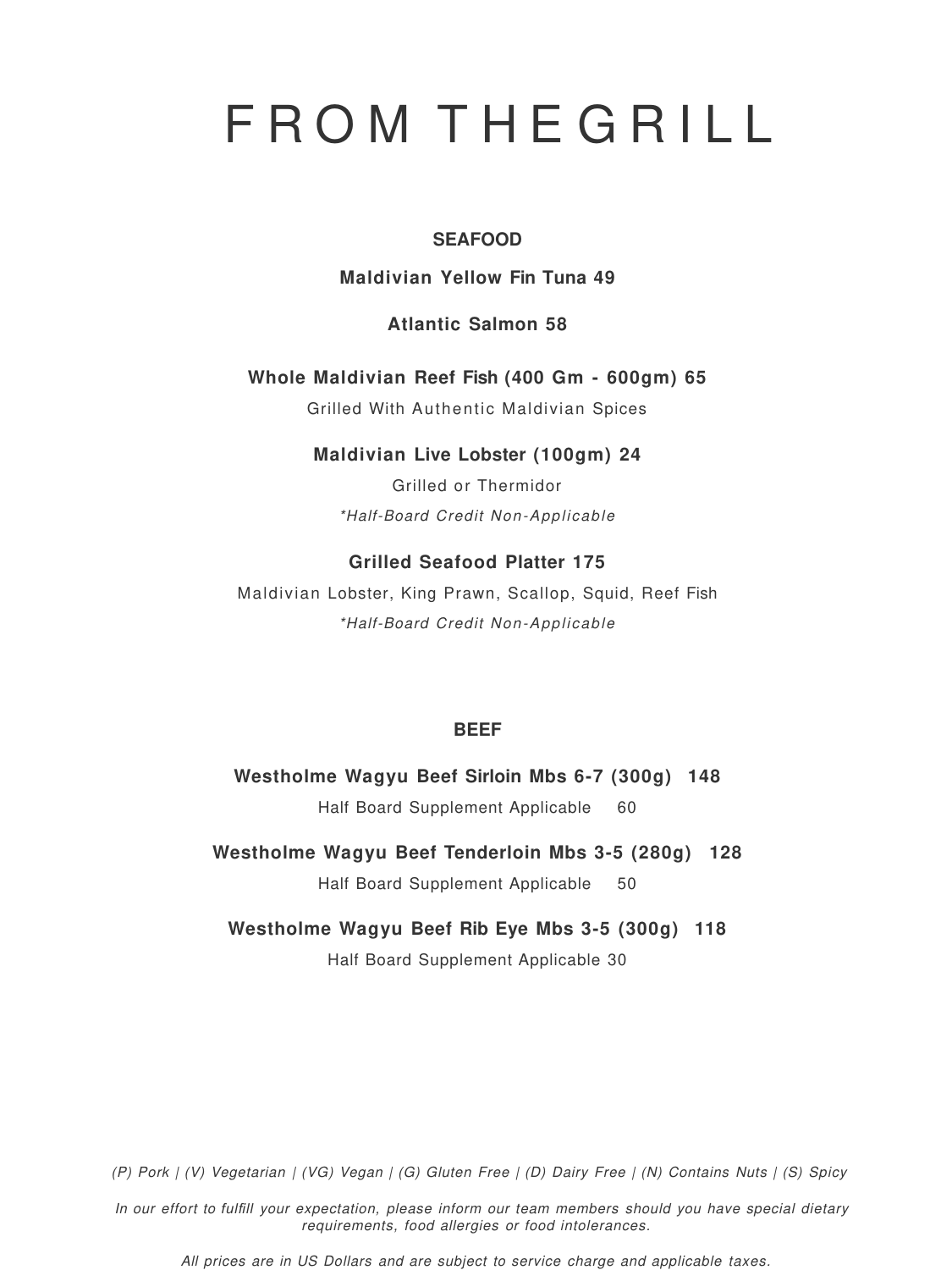# F R O M T H E G R I L L

**SEAFOOD**

**Maldivian Yellow Fin Tuna 49** 

**Atlantic Salmon 58**

**Whole Maldivian Reef Fish (400 Gm - 600gm) 65**

Grilled With Authentic Maldivian Spices

### **Maldivian Live Lobster (100gm) 24**

Grilled or Thermidor

\*Half-Board Credit Non-Applicable

### **Grilled Seafood Platter 175**

Maldivian Lobster, King Prawn, Scallop, Squid, Reef Fish \*Half-Board Credit Non-Applicable

#### **BEEF**

### **Westholme Wagyu Beef Sirloin Mbs 6-7 (300g) 148**

Half Board Supplement Applicable 60

### **Westholme Wagyu Beef Tenderloin Mbs 3-5 (280g) 128**

Half Board Supplement Applicable 50

### **Westholme Wagyu Beef Rib Eye Mbs 3-5 (300g) 118**

Half Board Supplement Applicable 30

(P) Pork | (V) Vegetarian | (VG) Vegan | (G) Gluten Free | (D) Dairy Free | (N) Contains Nuts | (S) Spicy

In our effort to *fulfill* your expectation, please inform our team members should you have special dietary requirements, food allergies or food intolerances.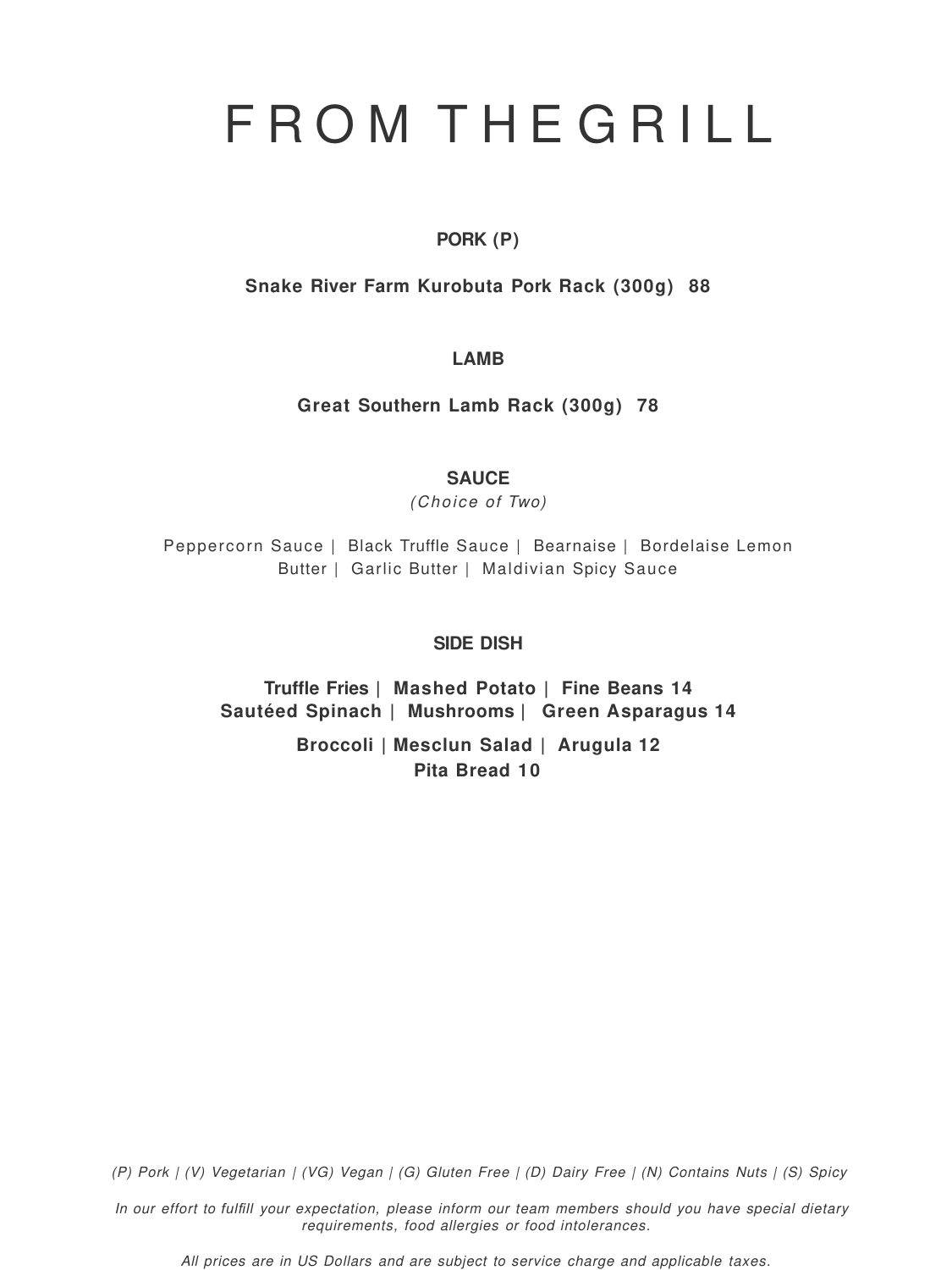**PORK (P)**

**Snake River Farm Kurobuta Pork Rack (300g) 88**

**LAMB**

**Great Southern Lamb Rack (300g) 78**

**SAUCE**

(Choice of Two)

Peppercorn Sauce | Black Truffle Sauce | Bearnaise | Bordelaise Lemon Butter | Garlic Butter | Maldivian Spicy Sauce

### **SIDE DISH**

**Truffle Fries | Mashed Potato | Fine Beans 14 Sautéed Spinach | Mushrooms | Green Asparagus 14** 

### **Broccoli | Mesclun Salad | Arugula 12 Pita Bread 10**

(P) Pork | (V) Vegetarian | (VG) Vegan | (G) Gluten Free | (D) Dairy Free | (N) Contains Nuts | (S) Spicy

In our effort to *fulfill* your expectation, please inform our team members should you have special dietary requirements, food allergies or food intolerances.

All prices are in US Dollars and are subject to service charge and applicable taxes.

### F R O M T H E G R I L L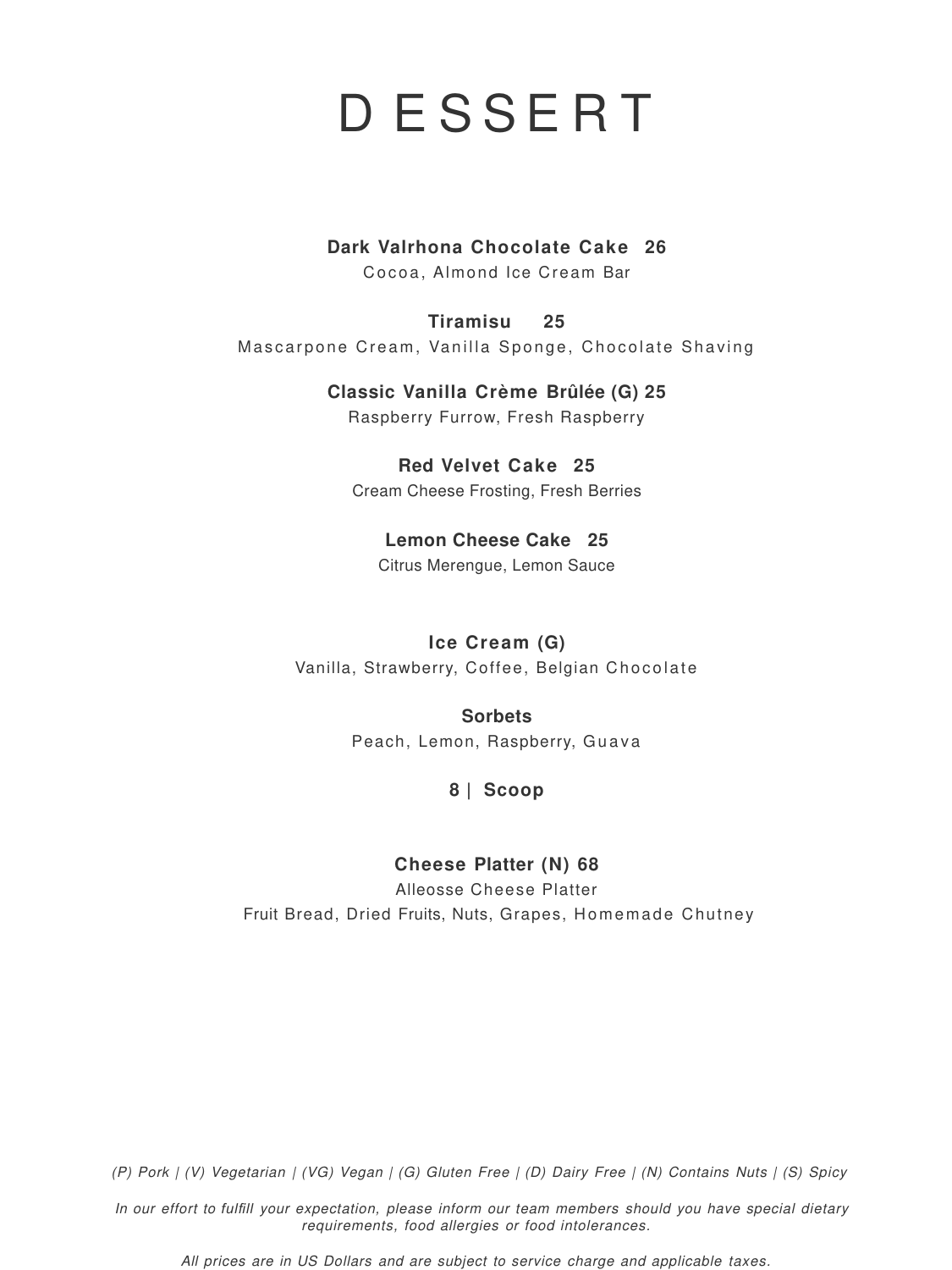(P) Pork | (V) Vegetarian | (VG) Vegan | (G) Gluten Free | (D) Dairy Free | (N) Contains Nuts | (S) Spicy

In our effort to *fulfill* your expectation, please inform our team members should you have special dietary requirements, food allergies or food intolerances.

**Tiramisu 25** Mascarpone Cream, Vanilla Sponge, Chocolate Shaving

All prices are in US Dollars and are subject to service charge and applicable taxes.

**Ice Cream (G)** Vanilla, Strawberry, Coffee, Belgian Chocolate

### D E S S E R T

### **Dark Valrhona Chocolate Cake 26**

Cocoa, Almond Ice Cream Bar

Alleosse Cheese Platter Fruit Bread, Dried Fruits, Nuts, Grapes, Homemade Chutney

### **Classic Vanilla Crème Brûlée (G) 25**

Raspberry Furrow, Fresh Raspberry

### **Red Velvet Cake 25**

Cream Cheese Frosting, Fresh Berries

### **Lemon Cheese Cake 25**

Citrus Merengue, Lemon Sauce

**Sorbets**

Peach, Lemon, Raspberry, Guava

**8 | Scoop**

### **Cheese Platter (N) 68**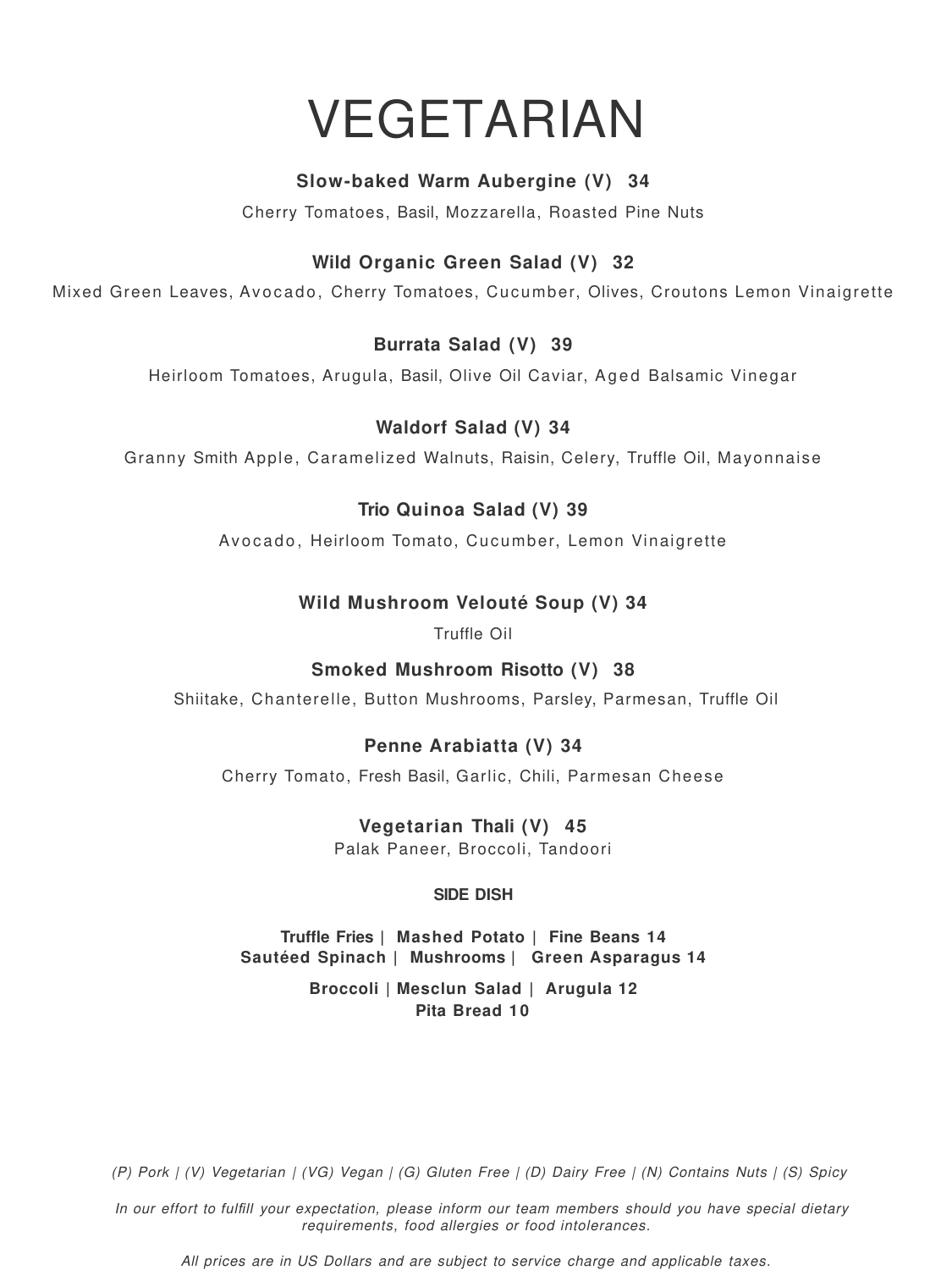### VEGETARIAN

### **Slow-baked Warm Aubergine (V) 34**

Cherry Tomatoes, Basil, Mozzarella, Roasted Pine Nuts

### **Wild Organic Green Salad (V) 32**

Mixed Green Leaves, Avocado, Cherry Tomatoes, Cucumber, Olives, Croutons Lemon Vinaigrette

### **Burrata Salad (V) 39**

Heirloom Tomatoes, Arugula, Basil, Olive Oil Caviar, Aged Balsamic Vinegar

### **Waldorf Salad (V) 34**

Granny Smith Apple, Caramelized Walnuts, Raisin, Celery, Truffle Oil, Mayonnaise

### **Trio Quinoa Salad (V) 39**

Avocado, Heirloom Tomato, Cucumber, Lemon Vinaigrette

### **Wild Mushroom Velouté Soup (V) 34**

Truffle Oil

### **Smoked Mushroom Risotto (V) 38**

Shiitake, Chanterelle, Button Mushrooms, Parsley, Parmesan, Truffle Oil

### **Penne Arabiatta (V) 34**

Cherry Tomato, Fresh Basil, Garlic, Chili, Parmesan Cheese

### **Vegetarian Thali (V) 45**

Palak Paneer, Broccoli, Tandoori

#### **SIDE DISH**

### **Truffle Fries | Mashed Potato | Fine Beans 14 Sautéed Spinach | Mushrooms | Green Asparagus 14 Broccoli | Mesclun Salad | Arugula 12 Pita Bread 10**

(P) Pork | (V) Vegetarian | (VG) Vegan | (G) Gluten Free | (D) Dairy Free | (N) Contains Nuts | (S) Spicy

In our effort to *fulfill* your expectation, please inform our team members should you have special dietary requirements, food allergies or food intolerances.